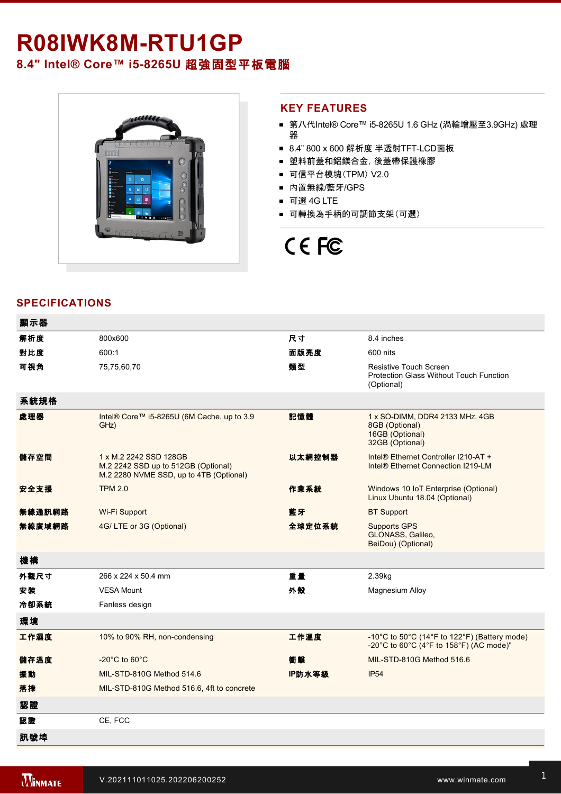## R08IWK8M-RTU1GP

**8.4"** Intel® Core™ i5-8265U 超強固型平板電腦



#### **KEY FEATURES**

- 第八代Intel® Core™ i5-8265U 1.6 GHz (渦輪增壓至3.9GHz) 處理 器
- 8.4" 800 x 600 解析度 半透射TFT-LCD面板
- 塑料前蓋和鋁鎂合金, 後蓋帶保護橡膠
- 可信平台模塊(TPM) V2.0
- 內置無線/藍牙/GPS
- 可選 4G LTE
- 可轉換為手柄的可調節支架(可選)

# CE FC

### **SPECIFICATIONS**

| 顯示器    |                                                                                                          |        |                                                                                         |
|--------|----------------------------------------------------------------------------------------------------------|--------|-----------------------------------------------------------------------------------------|
| 解析度    | 800x600                                                                                                  | 尺寸     | 8.4 inches                                                                              |
| 對比度    | 600:1                                                                                                    | 面版亮度   | 600 nits                                                                                |
| 可視角    | 75,75,60,70                                                                                              | 類型     | Resistive Touch Screen<br>Protection Glass Without Touch Function<br>(Optional)         |
| 系統規格   |                                                                                                          |        |                                                                                         |
| 處理器    | Intel® Core™ i5-8265U (6M Cache, up to 3.9<br>GHz)                                                       | 記憶體    | 1 x SO-DIMM, DDR4 2133 MHz, 4GB<br>8GB (Optional)<br>16GB (Optional)<br>32GB (Optional) |
| 儲存空間   | 1 x M.2 2242 SSD 128GB<br>M.2 2242 SSD up to 512GB (Optional)<br>M.2 2280 NVME SSD, up to 4TB (Optional) | 以太網控制器 | Intel® Ethernet Controller I210-AT +<br>Intel <sup>®</sup> Ethernet Connection I219-LM  |
| 安全支援   | <b>TPM 2.0</b>                                                                                           | 作業系統   | Windows 10 IoT Enterprise (Optional)<br>Linux Ubuntu 18.04 (Optional)                   |
| 無線通訊網路 | Wi-Fi Support                                                                                            | 藍牙     | <b>BT Support</b>                                                                       |
| 無線廣域網路 | 4G/LTE or 3G (Optional)                                                                                  | 全球定位系統 | <b>Supports GPS</b><br>GLONASS, Galileo,<br>BeiDou) (Optional)                          |
| 機構     |                                                                                                          |        |                                                                                         |
| 外觀尺寸   | 266 x 224 x 50.4 mm                                                                                      | 重量     | 2.39kg                                                                                  |
| 安装     | <b>VESA Mount</b>                                                                                        | 外殼     | Magnesium Alloy                                                                         |
| 冷卻系統   | Fanless design                                                                                           |        |                                                                                         |
| 環境     |                                                                                                          |        |                                                                                         |
| 工作濕度   | 10% to 90% RH, non-condensing                                                                            | 工作溫度   | -10°C to 50°C (14°F to 122°F) (Battery mode)<br>-20°C to 60°C (4°F to 158°F) (AC mode)" |
| 儲存溫度   | $-20^{\circ}$ C to 60 $^{\circ}$ C                                                                       | 衝擊     | MIL-STD-810G Method 516.6                                                               |
| 振動     | MIL-STD-810G Method 514.6                                                                                | IP防水等級 | <b>IP54</b>                                                                             |
| 落摔     | MIL-STD-810G Method 516.6, 4ft to concrete                                                               |        |                                                                                         |
| 認證     |                                                                                                          |        |                                                                                         |
| 認證     | CE, FCC                                                                                                  |        |                                                                                         |
| 訊號埠    |                                                                                                          |        |                                                                                         |

**SD**卡槽 1 x Micro SD card Slot **SIM**卡槽 1 x Micro SIM card Slot

2 x Speaker